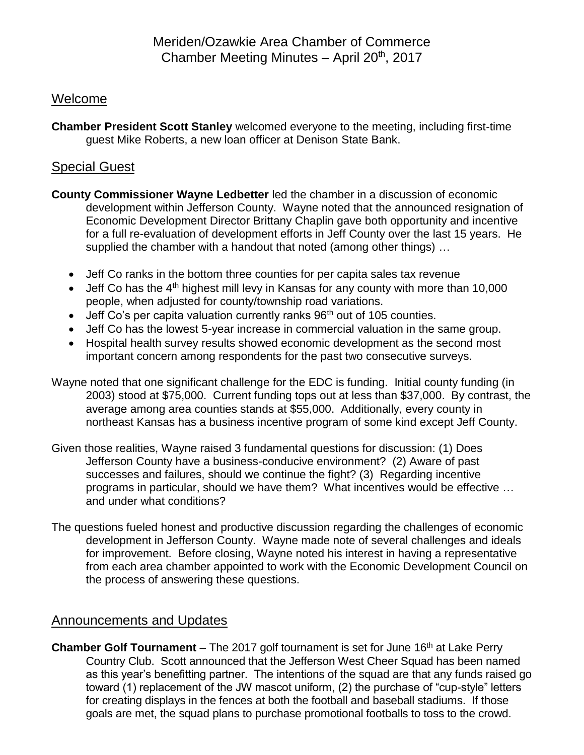## Welcome

**Chamber President Scott Stanley** welcomed everyone to the meeting, including first-time guest Mike Roberts, a new loan officer at Denison State Bank.

## Special Guest

- **County Commissioner Wayne Ledbetter** led the chamber in a discussion of economic development within Jefferson County. Wayne noted that the announced resignation of Economic Development Director Brittany Chaplin gave both opportunity and incentive for a full re-evaluation of development efforts in Jeff County over the last 15 years. He supplied the chamber with a handout that noted (among other things) …
	- Jeff Co ranks in the bottom three counties for per capita sales tax revenue
	- Jeff Co has the  $4<sup>th</sup>$  highest mill levy in Kansas for any county with more than 10,000 people, when adjusted for county/township road variations.
	- $\bullet$  Jeff Co's per capita valuation currently ranks 96<sup>th</sup> out of 105 counties.
	- Jeff Co has the lowest 5-year increase in commercial valuation in the same group.
	- Hospital health survey results showed economic development as the second most important concern among respondents for the past two consecutive surveys.
- Wayne noted that one significant challenge for the EDC is funding. Initial county funding (in 2003) stood at \$75,000. Current funding tops out at less than \$37,000. By contrast, the average among area counties stands at \$55,000. Additionally, every county in northeast Kansas has a business incentive program of some kind except Jeff County.
- Given those realities, Wayne raised 3 fundamental questions for discussion: (1) Does Jefferson County have a business-conducive environment? (2) Aware of past successes and failures, should we continue the fight? (3) Regarding incentive programs in particular, should we have them? What incentives would be effective … and under what conditions?
- The questions fueled honest and productive discussion regarding the challenges of economic development in Jefferson County. Wayne made note of several challenges and ideals for improvement. Before closing, Wayne noted his interest in having a representative from each area chamber appointed to work with the Economic Development Council on the process of answering these questions.

## Announcements and Updates

**Chamber Golf Tournament** – The 2017 golf tournament is set for June 16<sup>th</sup> at Lake Perry Country Club. Scott announced that the Jefferson West Cheer Squad has been named as this year's benefitting partner. The intentions of the squad are that any funds raised go toward (1) replacement of the JW mascot uniform, (2) the purchase of "cup-style" letters for creating displays in the fences at both the football and baseball stadiums. If those goals are met, the squad plans to purchase promotional footballs to toss to the crowd.